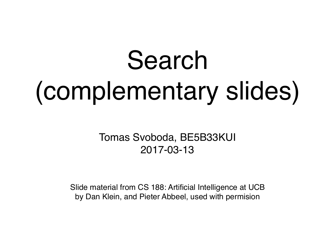# Search (complementary slides)

Tomas Svoboda, BE5B33KUI 2017-03-13

Slide material from CS 188: Artificial Intelligence at UCB by Dan Klein, and Pieter Abbeel, used with permision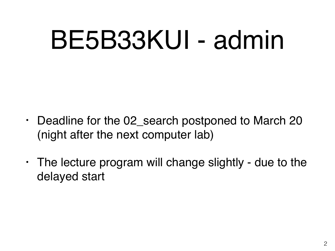## BE5B33KUI - admin

- Deadline for the 02\_search postponed to March 20 (night after the next computer lab)
- The lecture program will change slightly due to the delayed start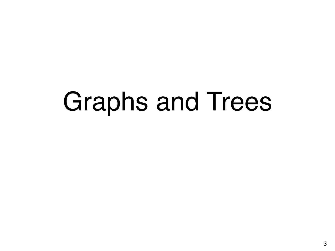## Graphs and Trees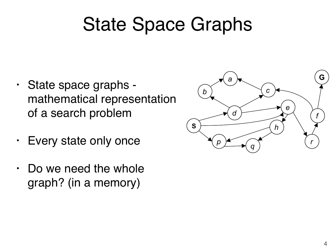### State Space Graphs

- State space graphs mathematical representation of a search problem representa<br>
on an original State State Character ! Nodes#are#(abstracted)#world#configura)ons#  $\frac{1}{2}$
- Every state only once
- Do we need the whole graph? (in a memory)  $(1)$   $(1)$   $(1)$   $(1)$   $(1)$   $(1)$   $(1)$   $(1)$   $(1)$   $(1)$   $(1)$   $(1)$   $(1)$   $(1)$   $(1)$   $(1)$   $(1)$   $(1)$   $(1)$   $(1)$   $(1)$   $(1)$   $(1)$   $(1)$   $(1)$   $(1)$   $(1)$   $(1)$   $(1)$   $(1)$   $(1)$   $(1)$   $(1)$   $(1)$   $(1)$   $(1)$   $(1)$

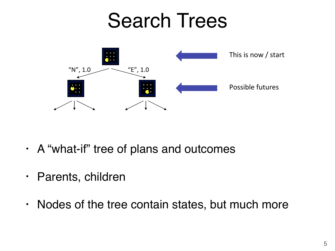### Search Trees



- · A "what-if" tree of plans and outcomes ! The state is the state is the root
- Parents, children
- Nodes of the tree contain states, but much more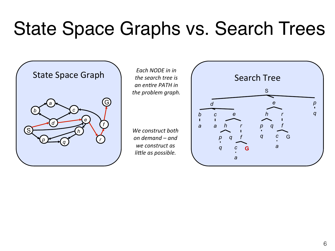### State Space Graphs vs. Search Trees

S G  $\overline{d}$ *b*   $p \rightarrow \sqrt{q}$  $\overline{c}$ *e h a f r* 

*Each NODE in in the search tree is an entire PATH in* the problem graph.

We construct both *on%demand%–%and%* we construct as *little as possible.* 

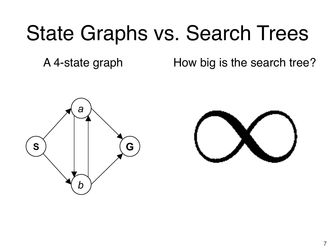### State Graphs vs. Search Trees

A 4-state graph How big is the search tree?



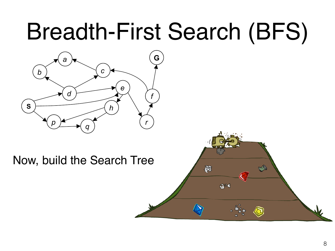### **Breadth-First Search (BFS)**



#### Now, build the Search Tree

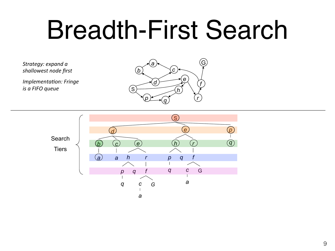# Breadth-First Search

Strategy: expand a shallowest node first

*Implementation: Fringe is a FIFO queue* 



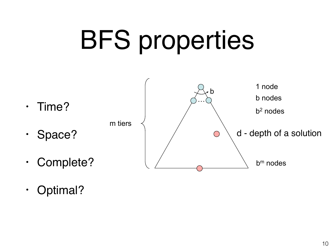# **BFS properties**

- Time?  $\bullet$
- 
- Space?  $\bullet$
- Complete?  $\bullet$
- 1 node b b nodes  $b<sup>2</sup>$  nodes m tiers d - depth of a solution  $\bigcirc$  $b<sup>m</sup>$  nodes
- Optimal?  $\bullet$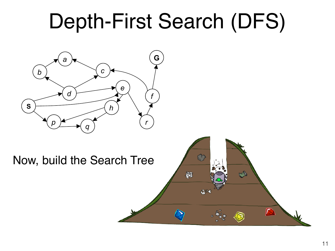### Depth-First Search (DFS)



#### Now, build the Search Tree

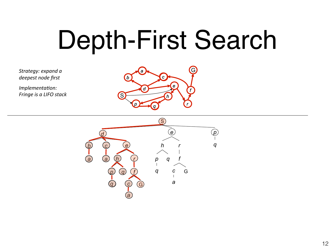# Depth-First Search

Strategy: expand a *deepest%node%first%*

*Implementation:* **Fringe is a LIFO stack** 



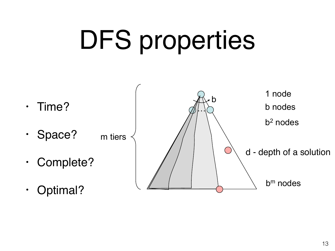# DFS properties

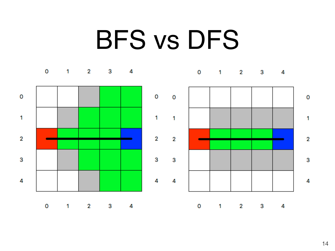## BFS vs DFS

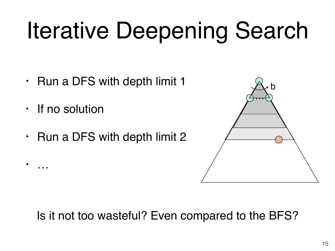## Iterative Deepening Search

- Run a DFS with depth limit 1  $\bullet$
- · If no solution
- Run a DFS with depth limit 2  $\bullet$



#### Is it not too wasteful? Even compared to the BFS?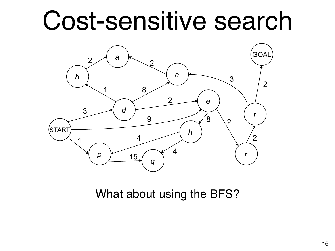## Cost-sensitive search



What about using the BFS?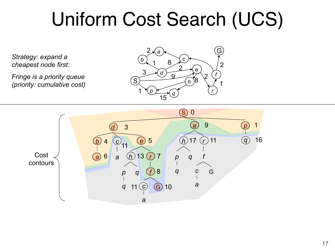#### Uniform Cost Search (UCS) II COST SEAICH (C

*Strategy: expand a cheapest node first:* 

*Fringe is a priority queue Fringe is a priority queue*<br>(priority: cumulative cost)  $\qquad \qquad \textcircled{s}$ 

![](_page_16_Figure_3.jpeg)

![](_page_16_Figure_4.jpeg)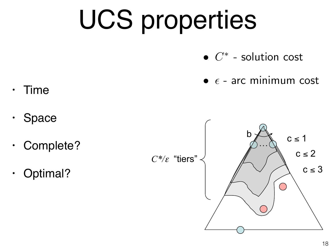# UCS properties

- $\bullet$   $C^*$  solution cost
- $\bullet$   $\epsilon$  arc minimum cost
- Time  $\bullet$
- Space  $\bullet$
- · Complete?
- Optimal?  $\bullet$

![](_page_17_Figure_7.jpeg)